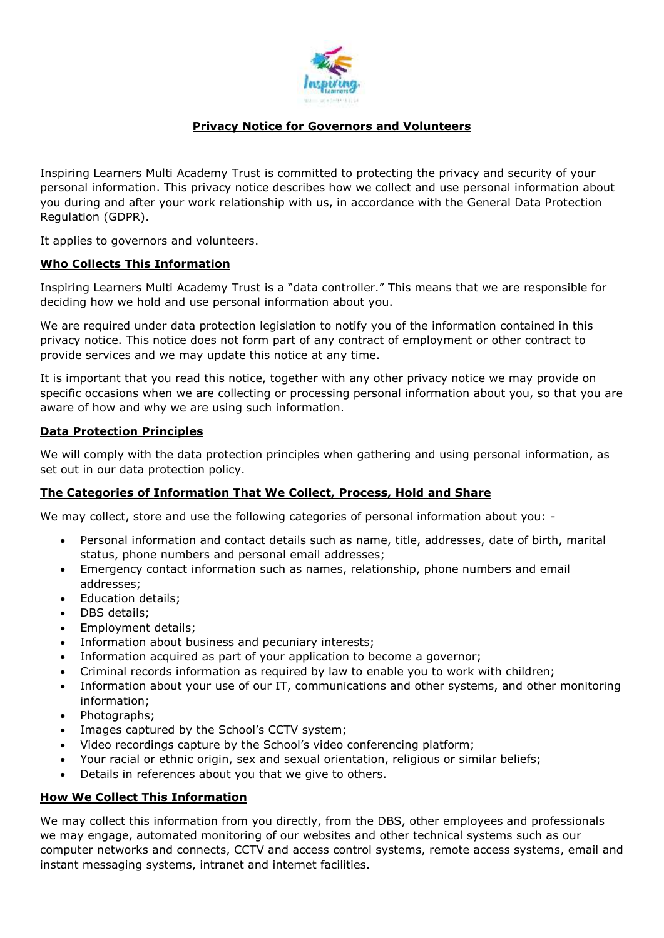

# **Privacy Notice for Governors and Volunteers**

Inspiring Learners Multi Academy Trust is committed to protecting the privacy and security of your personal information. This privacy notice describes how we collect and use personal information about you during and after your work relationship with us, in accordance with the General Data Protection Regulation (GDPR).

It applies to governors and volunteers.

### **Who Collects This Information**

Inspiring Learners Multi Academy Trust is a "data controller." This means that we are responsible for deciding how we hold and use personal information about you.

We are required under data protection legislation to notify you of the information contained in this privacy notice. This notice does not form part of any contract of employment or other contract to provide services and we may update this notice at any time.

It is important that you read this notice, together with any other privacy notice we may provide on specific occasions when we are collecting or processing personal information about you, so that you are aware of how and why we are using such information.

#### **Data Protection Principles**

We will comply with the data protection principles when gathering and using personal information, as set out in our data protection policy.

### **The Categories of Information That We Collect, Process, Hold and Share**

We may collect, store and use the following categories of personal information about you: -

- Personal information and contact details such as name, title, addresses, date of birth, marital status, phone numbers and personal email addresses;
- Emergency contact information such as names, relationship, phone numbers and email addresses;
- Education details;
- DBS details;
- Employment details;
- Information about business and pecuniary interests;
- Information acquired as part of your application to become a governor;
- Criminal records information as required by law to enable you to work with children;
- Information about your use of our IT, communications and other systems, and other monitoring information;
- Photographs;
- Images captured by the School's CCTV system;
- Video recordings capture by the School's video conferencing platform;
- Your racial or ethnic origin, sex and sexual orientation, religious or similar beliefs;
- Details in references about you that we give to others.

#### **How We Collect This Information**

We may collect this information from you directly, from the DBS, other employees and professionals we may engage, automated monitoring of our websites and other technical systems such as our computer networks and connects, CCTV and access control systems, remote access systems, email and instant messaging systems, intranet and internet facilities.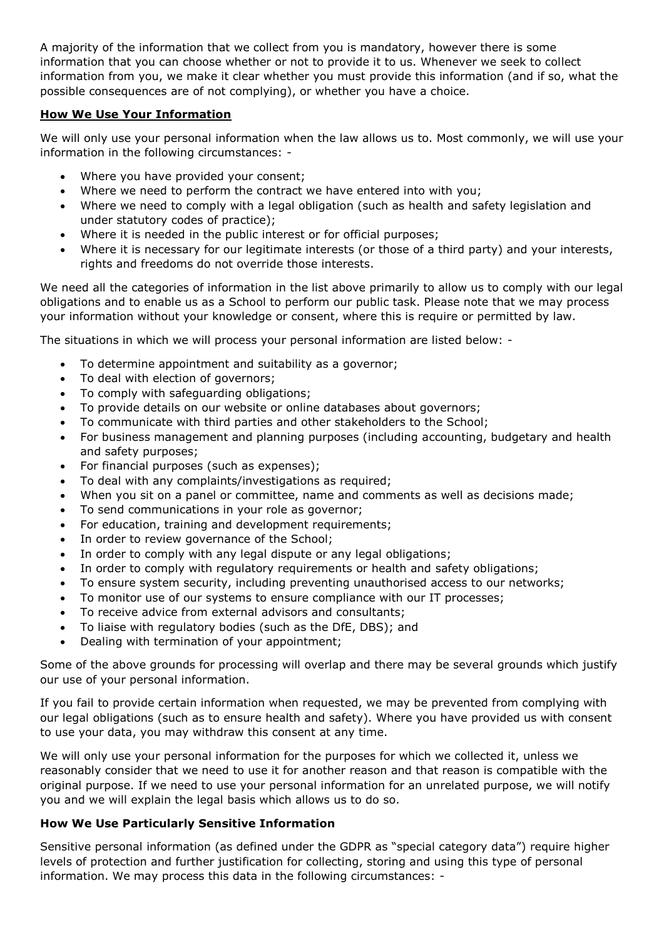A majority of the information that we collect from you is mandatory, however there is some information that you can choose whether or not to provide it to us. Whenever we seek to collect information from you, we make it clear whether you must provide this information (and if so, what the possible consequences are of not complying), or whether you have a choice.

# **How We Use Your Information**

We will only use your personal information when the law allows us to. Most commonly, we will use your information in the following circumstances: -

- Where you have provided your consent;
- Where we need to perform the contract we have entered into with you;
- Where we need to comply with a legal obligation (such as health and safety legislation and under statutory codes of practice);
- Where it is needed in the public interest or for official purposes;
- Where it is necessary for our legitimate interests (or those of a third party) and your interests, rights and freedoms do not override those interests.

We need all the categories of information in the list above primarily to allow us to comply with our legal obligations and to enable us as a School to perform our public task. Please note that we may process your information without your knowledge or consent, where this is require or permitted by law.

The situations in which we will process your personal information are listed below: -

- To determine appointment and suitability as a governor;
- To deal with election of governors;
- To comply with safeguarding obligations;
- To provide details on our website or online databases about governors;
- To communicate with third parties and other stakeholders to the School;
- For business management and planning purposes (including accounting, budgetary and health and safety purposes;
- For financial purposes (such as expenses);
- To deal with any complaints/investigations as required;
- When you sit on a panel or committee, name and comments as well as decisions made;
- To send communications in your role as governor;
- For education, training and development requirements;
- In order to review governance of the School;
- In order to comply with any legal dispute or any legal obligations;
- In order to comply with regulatory requirements or health and safety obligations;
- To ensure system security, including preventing unauthorised access to our networks;
- To monitor use of our systems to ensure compliance with our IT processes;
- To receive advice from external advisors and consultants;
- To liaise with regulatory bodies (such as the DfE, DBS); and
- Dealing with termination of your appointment;

Some of the above grounds for processing will overlap and there may be several grounds which justify our use of your personal information.

If you fail to provide certain information when requested, we may be prevented from complying with our legal obligations (such as to ensure health and safety). Where you have provided us with consent to use your data, you may withdraw this consent at any time.

We will only use your personal information for the purposes for which we collected it, unless we reasonably consider that we need to use it for another reason and that reason is compatible with the original purpose. If we need to use your personal information for an unrelated purpose, we will notify you and we will explain the legal basis which allows us to do so.

# **How We Use Particularly Sensitive Information**

Sensitive personal information (as defined under the GDPR as "special category data") require higher levels of protection and further justification for collecting, storing and using this type of personal information. We may process this data in the following circumstances: -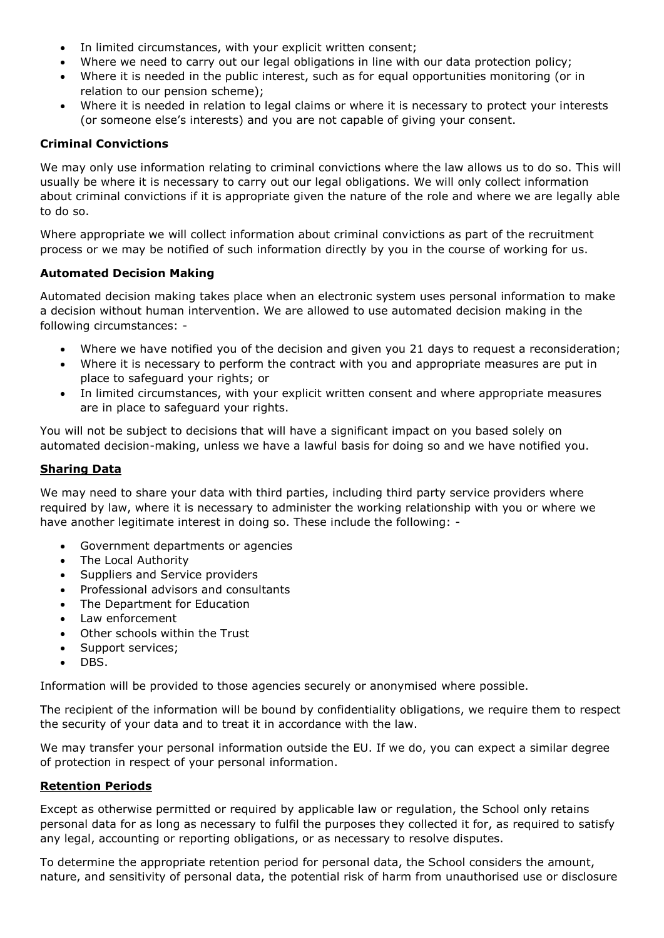- In limited circumstances, with your explicit written consent:
- Where we need to carry out our legal obligations in line with our data protection policy;
- Where it is needed in the public interest, such as for equal opportunities monitoring (or in relation to our pension scheme);
- Where it is needed in relation to legal claims or where it is necessary to protect your interests (or someone else's interests) and you are not capable of giving your consent.

# **Criminal Convictions**

We may only use information relating to criminal convictions where the law allows us to do so. This will usually be where it is necessary to carry out our legal obligations. We will only collect information about criminal convictions if it is appropriate given the nature of the role and where we are legally able to do so.

Where appropriate we will collect information about criminal convictions as part of the recruitment process or we may be notified of such information directly by you in the course of working for us.

# **Automated Decision Making**

Automated decision making takes place when an electronic system uses personal information to make a decision without human intervention. We are allowed to use automated decision making in the following circumstances: -

- Where we have notified you of the decision and given you 21 days to request a reconsideration;
- Where it is necessary to perform the contract with you and appropriate measures are put in place to safeguard your rights; or
- In limited circumstances, with your explicit written consent and where appropriate measures are in place to safeguard your rights.

You will not be subject to decisions that will have a significant impact on you based solely on automated decision-making, unless we have a lawful basis for doing so and we have notified you.

# **Sharing Data**

We may need to share your data with third parties, including third party service providers where required by law, where it is necessary to administer the working relationship with you or where we have another legitimate interest in doing so. These include the following: -

- Government departments or agencies
- The Local Authority
- Suppliers and Service providers
- Professional advisors and consultants
- The Department for Education
- Law enforcement
- Other schools within the Trust
- Support services;
- DBS.

Information will be provided to those agencies securely or anonymised where possible.

The recipient of the information will be bound by confidentiality obligations, we require them to respect the security of your data and to treat it in accordance with the law.

We may transfer your personal information outside the EU. If we do, you can expect a similar degree of protection in respect of your personal information.

### **Retention Periods**

Except as otherwise permitted or required by applicable law or regulation, the School only retains personal data for as long as necessary to fulfil the purposes they collected it for, as required to satisfy any legal, accounting or reporting obligations, or as necessary to resolve disputes.

To determine the appropriate retention period for personal data, the School considers the amount, nature, and sensitivity of personal data, the potential risk of harm from unauthorised use or disclosure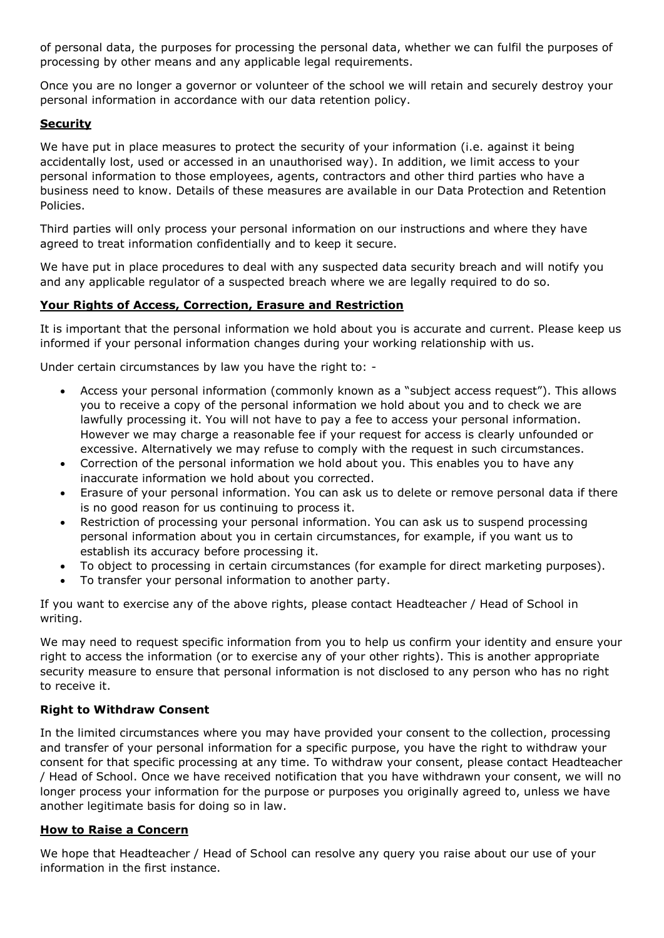of personal data, the purposes for processing the personal data, whether we can fulfil the purposes of processing by other means and any applicable legal requirements.

Once you are no longer a governor or volunteer of the school we will retain and securely destroy your personal information in accordance with our data retention policy.

# **Security**

We have put in place measures to protect the security of your information (i.e. against it being accidentally lost, used or accessed in an unauthorised way). In addition, we limit access to your personal information to those employees, agents, contractors and other third parties who have a business need to know. Details of these measures are available in our Data Protection and Retention Policies.

Third parties will only process your personal information on our instructions and where they have agreed to treat information confidentially and to keep it secure.

We have put in place procedures to deal with any suspected data security breach and will notify you and any applicable regulator of a suspected breach where we are legally required to do so.

### **Your Rights of Access, Correction, Erasure and Restriction**

It is important that the personal information we hold about you is accurate and current. Please keep us informed if your personal information changes during your working relationship with us.

Under certain circumstances by law you have the right to: -

- Access your personal information (commonly known as a "subject access request"). This allows you to receive a copy of the personal information we hold about you and to check we are lawfully processing it. You will not have to pay a fee to access your personal information. However we may charge a reasonable fee if your request for access is clearly unfounded or excessive. Alternatively we may refuse to comply with the request in such circumstances.
- Correction of the personal information we hold about you. This enables you to have any inaccurate information we hold about you corrected.
- Erasure of your personal information. You can ask us to delete or remove personal data if there is no good reason for us continuing to process it.
- Restriction of processing your personal information. You can ask us to suspend processing personal information about you in certain circumstances, for example, if you want us to establish its accuracy before processing it.
- To object to processing in certain circumstances (for example for direct marketing purposes).
- To transfer your personal information to another party.

If you want to exercise any of the above rights, please contact Headteacher / Head of School in writing.

We may need to request specific information from you to help us confirm your identity and ensure your right to access the information (or to exercise any of your other rights). This is another appropriate security measure to ensure that personal information is not disclosed to any person who has no right to receive it.

### **Right to Withdraw Consent**

In the limited circumstances where you may have provided your consent to the collection, processing and transfer of your personal information for a specific purpose, you have the right to withdraw your consent for that specific processing at any time. To withdraw your consent, please contact Headteacher / Head of School. Once we have received notification that you have withdrawn your consent, we will no longer process your information for the purpose or purposes you originally agreed to, unless we have another legitimate basis for doing so in law.

### **How to Raise a Concern**

We hope that Headteacher / Head of School can resolve any query you raise about our use of your information in the first instance.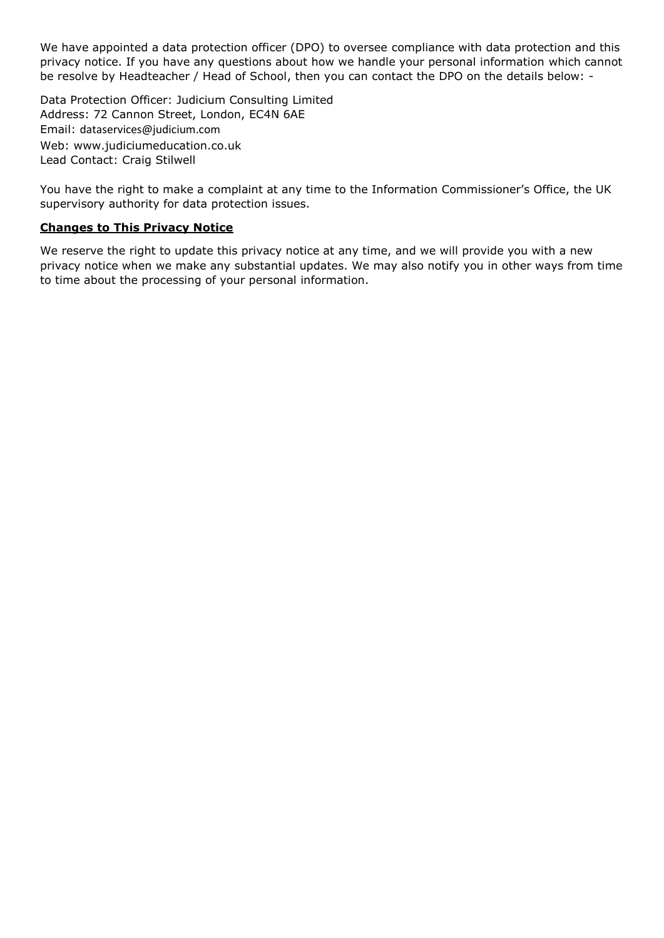We have appointed a data protection officer (DPO) to oversee compliance with data protection and this privacy notice. If you have any questions about how we handle your personal information which cannot be resolve by Headteacher / Head of School, then you can contact the DPO on the details below: -

Data Protection Officer: Judicium Consulting Limited Address: 72 Cannon Street, London, EC4N 6AE Email: [dataservices@judicium.com](mailto:dataservices@judicium.com) Web: www.judiciumeducation.co.uk Lead Contact: Craig Stilwell

You have the right to make a complaint at any time to the Information Commissioner's Office, the UK supervisory authority for data protection issues.

#### **Changes to This Privacy Notice**

We reserve the right to update this privacy notice at any time, and we will provide you with a new privacy notice when we make any substantial updates. We may also notify you in other ways from time to time about the processing of your personal information.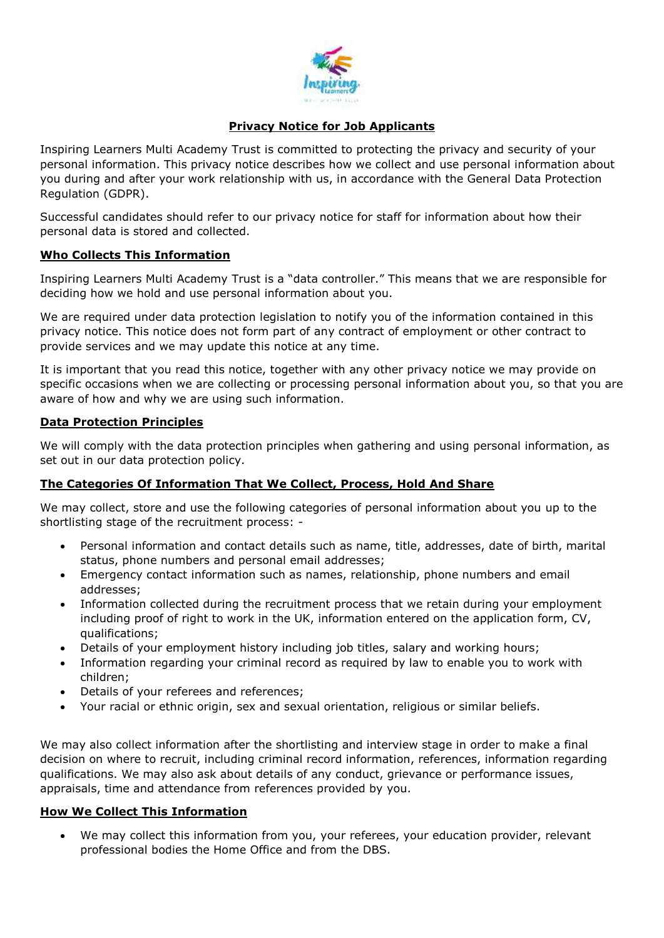

# **Privacy Notice for Job Applicants**

Inspiring Learners Multi Academy Trust is committed to protecting the privacy and security of your personal information. This privacy notice describes how we collect and use personal information about you during and after your work relationship with us, in accordance with the General Data Protection Regulation (GDPR).

Successful candidates should refer to our privacy notice for staff for information about how their personal data is stored and collected.

### **Who Collects This Information**

Inspiring Learners Multi Academy Trust is a "data controller." This means that we are responsible for deciding how we hold and use personal information about you.

We are required under data protection legislation to notify you of the information contained in this privacy notice. This notice does not form part of any contract of employment or other contract to provide services and we may update this notice at any time.

It is important that you read this notice, together with any other privacy notice we may provide on specific occasions when we are collecting or processing personal information about you, so that you are aware of how and why we are using such information.

#### **Data Protection Principles**

We will comply with the data protection principles when gathering and using personal information, as set out in our data protection policy.

### **The Categories Of Information That We Collect, Process, Hold And Share**

We may collect, store and use the following categories of personal information about you up to the shortlisting stage of the recruitment process: -

- Personal information and contact details such as name, title, addresses, date of birth, marital status, phone numbers and personal email addresses;
- Emergency contact information such as names, relationship, phone numbers and email addresses;
- Information collected during the recruitment process that we retain during your employment including proof of right to work in the UK, information entered on the application form, CV, qualifications;
- Details of your employment history including job titles, salary and working hours;
- Information regarding your criminal record as required by law to enable you to work with children;
- Details of your referees and references;
- Your racial or ethnic origin, sex and sexual orientation, religious or similar beliefs.

We may also collect information after the shortlisting and interview stage in order to make a final decision on where to recruit, including criminal record information, references, information regarding qualifications. We may also ask about details of any conduct, grievance or performance issues, appraisals, time and attendance from references provided by you.

### **How We Collect This Information**

 We may collect this information from you, your referees, your education provider, relevant professional bodies the Home Office and from the DBS.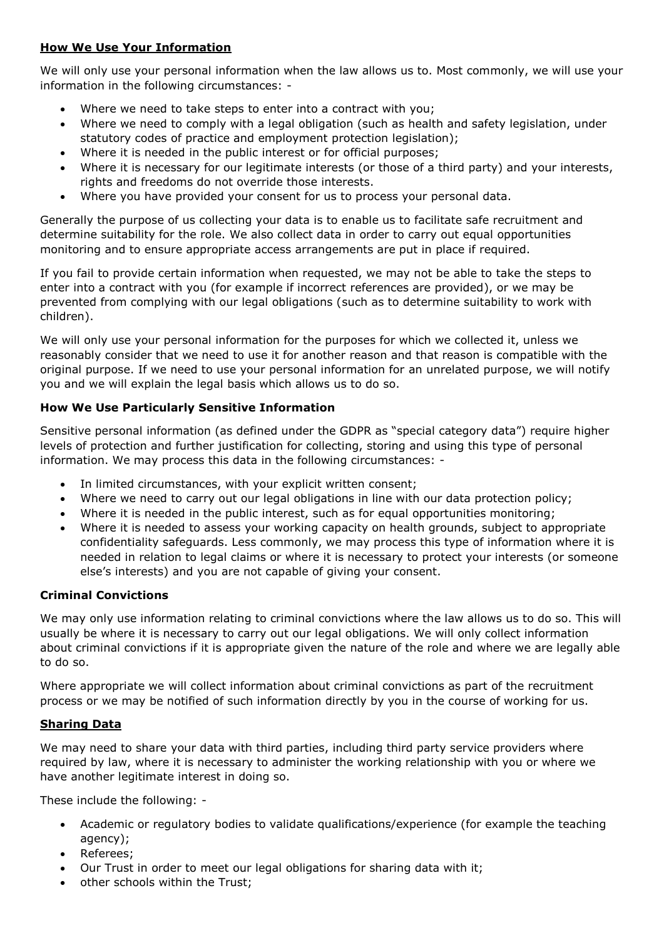# **How We Use Your Information**

We will only use your personal information when the law allows us to. Most commonly, we will use your information in the following circumstances: -

- Where we need to take steps to enter into a contract with you;
- Where we need to comply with a legal obligation (such as health and safety legislation, under statutory codes of practice and employment protection legislation);
- Where it is needed in the public interest or for official purposes;
- Where it is necessary for our legitimate interests (or those of a third party) and your interests, rights and freedoms do not override those interests.
- Where you have provided your consent for us to process your personal data.

Generally the purpose of us collecting your data is to enable us to facilitate safe recruitment and determine suitability for the role. We also collect data in order to carry out equal opportunities monitoring and to ensure appropriate access arrangements are put in place if required.

If you fail to provide certain information when requested, we may not be able to take the steps to enter into a contract with you (for example if incorrect references are provided), or we may be prevented from complying with our legal obligations (such as to determine suitability to work with children).

We will only use your personal information for the purposes for which we collected it, unless we reasonably consider that we need to use it for another reason and that reason is compatible with the original purpose. If we need to use your personal information for an unrelated purpose, we will notify you and we will explain the legal basis which allows us to do so.

# **How We Use Particularly Sensitive Information**

Sensitive personal information (as defined under the GDPR as "special category data") require higher levels of protection and further justification for collecting, storing and using this type of personal information. We may process this data in the following circumstances: -

- In limited circumstances, with your explicit written consent;
- Where we need to carry out our legal obligations in line with our data protection policy;
- Where it is needed in the public interest, such as for equal opportunities monitoring;
- Where it is needed to assess your working capacity on health grounds, subject to appropriate confidentiality safeguards. Less commonly, we may process this type of information where it is needed in relation to legal claims or where it is necessary to protect your interests (or someone else's interests) and you are not capable of giving your consent.

### **Criminal Convictions**

We may only use information relating to criminal convictions where the law allows us to do so. This will usually be where it is necessary to carry out our legal obligations. We will only collect information about criminal convictions if it is appropriate given the nature of the role and where we are legally able to do so.

Where appropriate we will collect information about criminal convictions as part of the recruitment process or we may be notified of such information directly by you in the course of working for us.

### **Sharing Data**

We may need to share your data with third parties, including third party service providers where required by law, where it is necessary to administer the working relationship with you or where we have another legitimate interest in doing so.

These include the following: -

- Academic or regulatory bodies to validate qualifications/experience (for example the teaching agency);
- Referees;
- Our Trust in order to meet our legal obligations for sharing data with it;
- other schools within the Trust;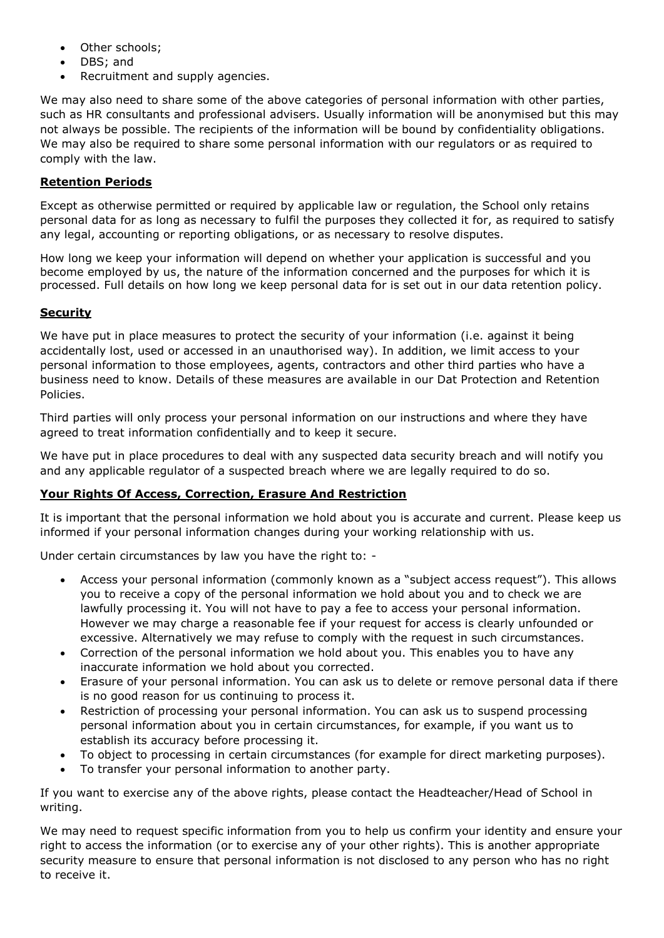- Other schools;
- DBS; and
- Recruitment and supply agencies.

We may also need to share some of the above categories of personal information with other parties, such as HR consultants and professional advisers. Usually information will be anonymised but this may not always be possible. The recipients of the information will be bound by confidentiality obligations. We may also be required to share some personal information with our regulators or as required to comply with the law.

## **Retention Periods**

Except as otherwise permitted or required by applicable law or regulation, the School only retains personal data for as long as necessary to fulfil the purposes they collected it for, as required to satisfy any legal, accounting or reporting obligations, or as necessary to resolve disputes.

How long we keep your information will depend on whether your application is successful and you become employed by us, the nature of the information concerned and the purposes for which it is processed. Full details on how long we keep personal data for is set out in our data retention policy.

# **Security**

We have put in place measures to protect the security of your information (i.e. against it being accidentally lost, used or accessed in an unauthorised way). In addition, we limit access to your personal information to those employees, agents, contractors and other third parties who have a business need to know. Details of these measures are available in our Dat Protection and Retention Policies.

Third parties will only process your personal information on our instructions and where they have agreed to treat information confidentially and to keep it secure.

We have put in place procedures to deal with any suspected data security breach and will notify you and any applicable regulator of a suspected breach where we are legally required to do so.

### **Your Rights Of Access, Correction, Erasure And Restriction**

It is important that the personal information we hold about you is accurate and current. Please keep us informed if your personal information changes during your working relationship with us.

Under certain circumstances by law you have the right to: -

- Access your personal information (commonly known as a "subject access request"). This allows you to receive a copy of the personal information we hold about you and to check we are lawfully processing it. You will not have to pay a fee to access your personal information. However we may charge a reasonable fee if your request for access is clearly unfounded or excessive. Alternatively we may refuse to comply with the request in such circumstances.
- Correction of the personal information we hold about you. This enables you to have any inaccurate information we hold about you corrected.
- Erasure of your personal information. You can ask us to delete or remove personal data if there is no good reason for us continuing to process it.
- Restriction of processing your personal information. You can ask us to suspend processing personal information about you in certain circumstances, for example, if you want us to establish its accuracy before processing it.
- To object to processing in certain circumstances (for example for direct marketing purposes).
- To transfer your personal information to another party.

If you want to exercise any of the above rights, please contact the Headteacher/Head of School in writing.

We may need to request specific information from you to help us confirm your identity and ensure your right to access the information (or to exercise any of your other rights). This is another appropriate security measure to ensure that personal information is not disclosed to any person who has no right to receive it.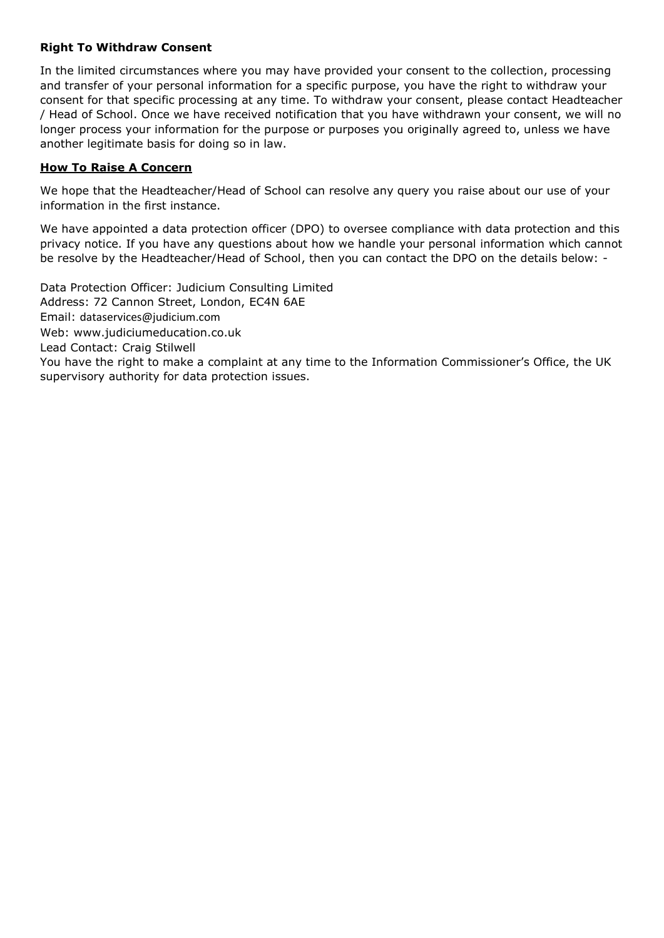## **Right To Withdraw Consent**

In the limited circumstances where you may have provided your consent to the collection, processing and transfer of your personal information for a specific purpose, you have the right to withdraw your consent for that specific processing at any time. To withdraw your consent, please contact Headteacher / Head of School. Once we have received notification that you have withdrawn your consent, we will no longer process your information for the purpose or purposes you originally agreed to, unless we have another legitimate basis for doing so in law.

# **How To Raise A Concern**

We hope that the Headteacher/Head of School can resolve any query you raise about our use of your information in the first instance.

We have appointed a data protection officer (DPO) to oversee compliance with data protection and this privacy notice. If you have any questions about how we handle your personal information which cannot be resolve by the Headteacher/Head of School, then you can contact the DPO on the details below: -

Data Protection Officer: Judicium Consulting Limited Address: 72 Cannon Street, London, EC4N 6AE Email: [dataservices@judicium.com](mailto:dataservices@judicium.com) Web: www.judiciumeducation.co.uk Lead Contact: Craig Stilwell You have the right to make a complaint at any time to the Information Commissioner's Office, the UK supervisory authority for data protection issues.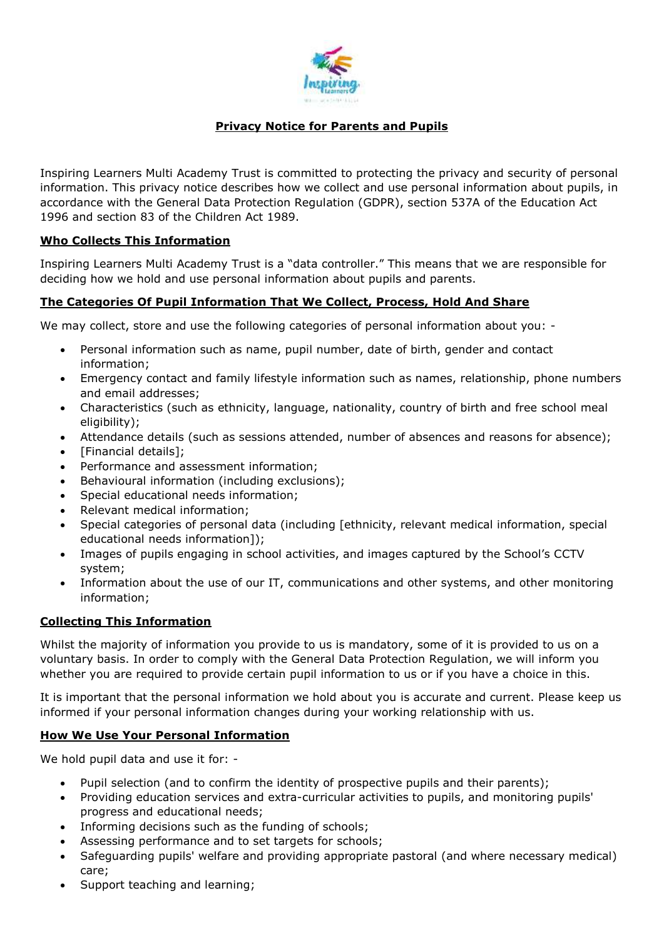

# **Privacy Notice for Parents and Pupils**

Inspiring Learners Multi Academy Trust is committed to protecting the privacy and security of personal information. This privacy notice describes how we collect and use personal information about pupils, in accordance with the General Data Protection Regulation (GDPR), section 537A of the Education Act 1996 and section 83 of the Children Act 1989.

# **Who Collects This Information**

Inspiring Learners Multi Academy Trust is a "data controller." This means that we are responsible for deciding how we hold and use personal information about pupils and parents.

# **The Categories Of Pupil Information That We Collect, Process, Hold And Share**

We may collect, store and use the following categories of personal information about you: -

- Personal information such as name, pupil number, date of birth, gender and contact information;
- Emergency contact and family lifestyle information such as names, relationship, phone numbers and email addresses;
- Characteristics (such as ethnicity, language, nationality, country of birth and free school meal eligibility);
- Attendance details (such as sessions attended, number of absences and reasons for absence);
- [Financial details];
- Performance and assessment information;
- Behavioural information (including exclusions);
- Special educational needs information;
- Relevant medical information;
- Special categories of personal data (including [ethnicity, relevant medical information, special educational needs information]);
- Images of pupils engaging in school activities, and images captured by the School's CCTV system;
- Information about the use of our IT, communications and other systems, and other monitoring information;

### **Collecting This Information**

Whilst the majority of information you provide to us is mandatory, some of it is provided to us on a voluntary basis. In order to comply with the General Data Protection Regulation, we will inform you whether you are required to provide certain pupil information to us or if you have a choice in this.

It is important that the personal information we hold about you is accurate and current. Please keep us informed if your personal information changes during your working relationship with us.

### **How We Use Your Personal Information**

We hold pupil data and use it for: -

- Pupil selection (and to confirm the identity of prospective pupils and their parents);
- Providing education services and extra-curricular activities to pupils, and monitoring pupils' progress and educational needs;
- Informing decisions such as the funding of schools;
- Assessing performance and to set targets for schools;
- Safeguarding pupils' welfare and providing appropriate pastoral (and where necessary medical) care;
- Support teaching and learning;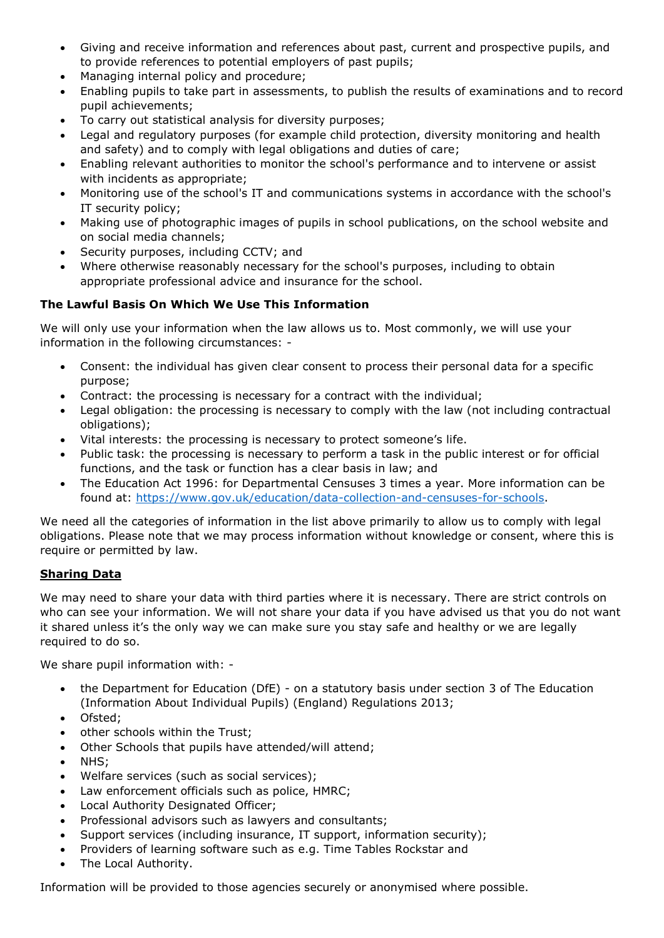- Giving and receive information and references about past, current and prospective pupils, and to provide references to potential employers of past pupils;
- Managing internal policy and procedure;
- Enabling pupils to take part in assessments, to publish the results of examinations and to record pupil achievements;
- To carry out statistical analysis for diversity purposes;
- Legal and regulatory purposes (for example child protection, diversity monitoring and health and safety) and to comply with legal obligations and duties of care;
- Enabling relevant authorities to monitor the school's performance and to intervene or assist with incidents as appropriate;
- Monitoring use of the school's IT and communications systems in accordance with the school's IT security policy;
- Making use of photographic images of pupils in school publications, on the school website and on social media channels;
- Security purposes, including CCTV; and
- Where otherwise reasonably necessary for the school's purposes, including to obtain appropriate professional advice and insurance for the school.

# **The Lawful Basis On Which We Use This Information**

We will only use your information when the law allows us to. Most commonly, we will use your information in the following circumstances: -

- Consent: the individual has given clear consent to process their personal data for a specific purpose;
- Contract: the processing is necessary for a contract with the individual;
- Legal obligation: the processing is necessary to comply with the law (not including contractual obligations);
- Vital interests: the processing is necessary to protect someone's life.
- Public task: the processing is necessary to perform a task in the public interest or for official functions, and the task or function has a clear basis in law; and
- The Education Act 1996: for Departmental Censuses 3 times a year. More information can be found at: [https://www.gov.uk/education/data-collection-and-censuses-for-schools.](https://www.gov.uk/education/data-collection-and-censuses-for-schools)

We need all the categories of information in the list above primarily to allow us to comply with legal obligations. Please note that we may process information without knowledge or consent, where this is require or permitted by law.

# **Sharing Data**

We may need to share your data with third parties where it is necessary. There are strict controls on who can see your information. We will not share your data if you have advised us that you do not want it shared unless it's the only way we can make sure you stay safe and healthy or we are legally required to do so.

We share pupil information with: -

- the Department for Education (DfE) on a statutory basis under section 3 of The Education (Information About Individual Pupils) (England) Regulations 2013;
- Ofsted:
- other schools within the Trust;
- Other Schools that pupils have attended/will attend;
- NHS;
- Welfare services (such as social services);
- Law enforcement officials such as police, HMRC;
- Local Authority Designated Officer;
- Professional advisors such as lawyers and consultants;
- Support services (including insurance, IT support, information security);
- Providers of learning software such as e.g. Time Tables Rockstar and
- The Local Authority.

Information will be provided to those agencies securely or anonymised where possible.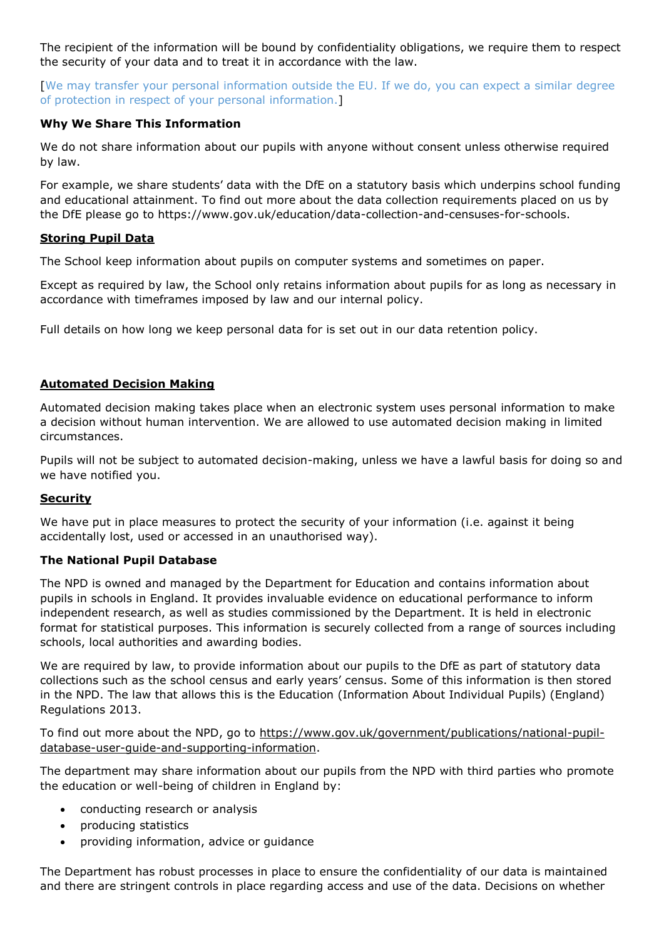The recipient of the information will be bound by confidentiality obligations, we require them to respect the security of your data and to treat it in accordance with the law.

[We may transfer your personal information outside the EU. If we do, you can expect a similar degree of protection in respect of your personal information.]

# **Why We Share This Information**

We do not share information about our pupils with anyone without consent unless otherwise required by law.

For example, we share students' data with the DfE on a statutory basis which underpins school funding and educational attainment. To find out more about the data collection requirements placed on us by the DfE please go to https://www.gov.uk/education/data-collection-and-censuses-for-schools.

### **Storing Pupil Data**

The School keep information about pupils on computer systems and sometimes on paper.

Except as required by law, the School only retains information about pupils for as long as necessary in accordance with timeframes imposed by law and our internal policy.

Full details on how long we keep personal data for is set out in our data retention policy.

# **Automated Decision Making**

Automated decision making takes place when an electronic system uses personal information to make a decision without human intervention. We are allowed to use automated decision making in limited circumstances.

Pupils will not be subject to automated decision-making, unless we have a lawful basis for doing so and we have notified you.

### **Security**

We have put in place measures to protect the security of your information (i.e. against it being accidentally lost, used or accessed in an unauthorised way).

### **The National Pupil Database**

The NPD is owned and managed by the Department for Education and contains information about pupils in schools in England. It provides invaluable evidence on educational performance to inform independent research, as well as studies commissioned by the Department. It is held in electronic format for statistical purposes. This information is securely collected from a range of sources including schools, local authorities and awarding bodies.

We are required by law, to provide information about our pupils to the DfE as part of statutory data collections such as the school census and early years' census. Some of this information is then stored in the NPD. The law that allows this is the Education (Information About Individual Pupils) (England) Regulations 2013.

To find out more about the NPD, go to [https://www.gov.uk/government/publications/national-pupil](https://www.gov.uk/government/publications/national-pupil-database-user-guide-and-supporting-information)[database-user-guide-and-supporting-information.](https://www.gov.uk/government/publications/national-pupil-database-user-guide-and-supporting-information)

The department may share information about our pupils from the NPD with third parties who promote the education or well-being of children in England by:

- conducting research or analysis
- producing statistics
- providing information, advice or guidance

The Department has robust processes in place to ensure the confidentiality of our data is maintained and there are stringent controls in place regarding access and use of the data. Decisions on whether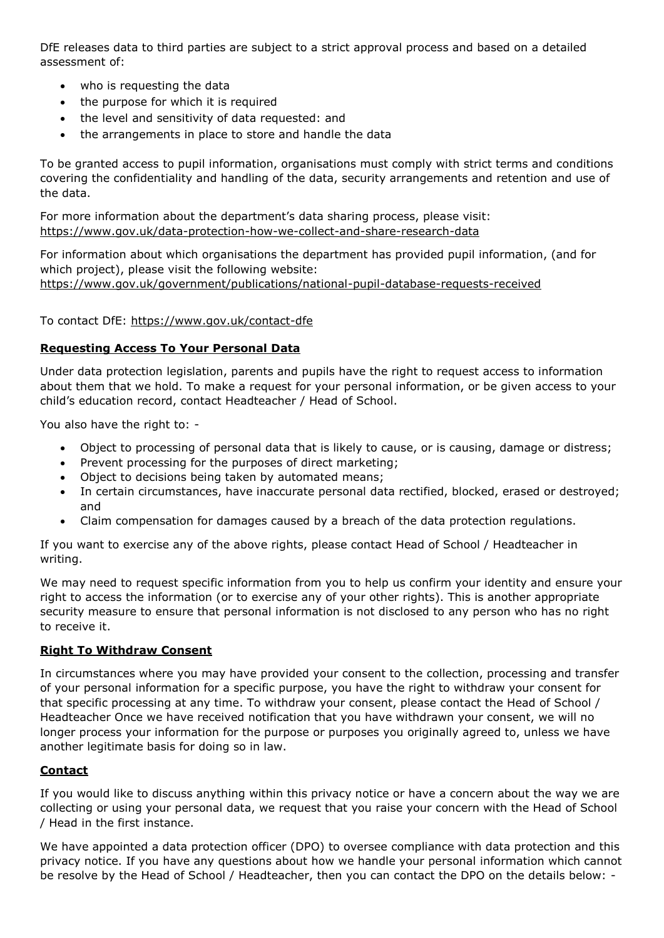DfE releases data to third parties are subject to a strict approval process and based on a detailed assessment of:

- who is requesting the data
- the purpose for which it is required
- the level and sensitivity of data requested: and
- the arrangements in place to store and handle the data

To be granted access to pupil information, organisations must comply with strict terms and conditions covering the confidentiality and handling of the data, security arrangements and retention and use of the data.

For more information about the department's data sharing process, please visit: <https://www.gov.uk/data-protection-how-we-collect-and-share-research-data>

For information about which organisations the department has provided pupil information, (and for which project), please visit the following website: <https://www.gov.uk/government/publications/national-pupil-database-requests-received>

To contact DfE:<https://www.gov.uk/contact-dfe>

#### **Requesting Access To Your Personal Data**

Under data protection legislation, parents and pupils have the right to request access to information about them that we hold. To make a request for your personal information, or be given access to your child's education record, contact Headteacher / Head of School.

You also have the right to: -

- Object to processing of personal data that is likely to cause, or is causing, damage or distress;
- Prevent processing for the purposes of direct marketing;
- Object to decisions being taken by automated means;
- In certain circumstances, have inaccurate personal data rectified, blocked, erased or destroyed; and
- Claim compensation for damages caused by a breach of the data protection regulations.

If you want to exercise any of the above rights, please contact Head of School / Headteacher in writing.

We may need to request specific information from you to help us confirm your identity and ensure your right to access the information (or to exercise any of your other rights). This is another appropriate security measure to ensure that personal information is not disclosed to any person who has no right to receive it.

### **Right To Withdraw Consent**

In circumstances where you may have provided your consent to the collection, processing and transfer of your personal information for a specific purpose, you have the right to withdraw your consent for that specific processing at any time. To withdraw your consent, please contact the Head of School / Headteacher Once we have received notification that you have withdrawn your consent, we will no longer process your information for the purpose or purposes you originally agreed to, unless we have another legitimate basis for doing so in law.

### **Contact**

If you would like to discuss anything within this privacy notice or have a concern about the way we are collecting or using your personal data, we request that you raise your concern with the Head of School / Head in the first instance.

We have appointed a data protection officer (DPO) to oversee compliance with data protection and this privacy notice. If you have any questions about how we handle your personal information which cannot be resolve by the Head of School / Headteacher, then you can contact the DPO on the details below: -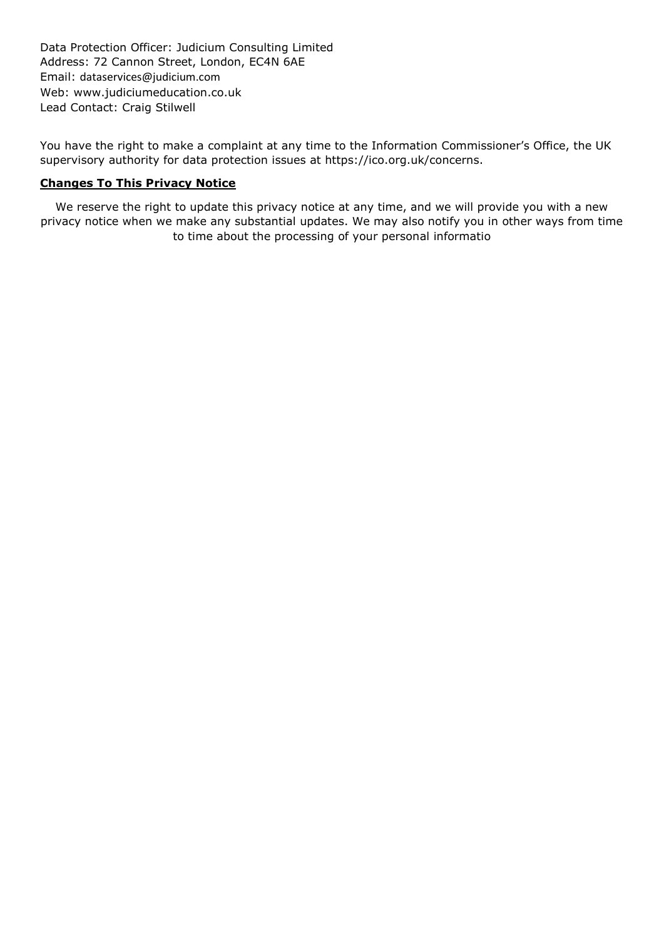Data Protection Officer: Judicium Consulting Limited Address: 72 Cannon Street, London, EC4N 6AE Email: [dataservices@judicium.com](mailto:dataservices@judicium.com) Web: www.judiciumeducation.co.uk Lead Contact: Craig Stilwell

You have the right to make a complaint at any time to the Information Commissioner's Office, the UK supervisory authority for data protection issues at https://ico.org.uk/concerns.

#### **Changes To This Privacy Notice**

We reserve the right to update this privacy notice at any time, and we will provide you with a new privacy notice when we make any substantial updates. We may also notify you in other ways from time to time about the processing of your personal informatio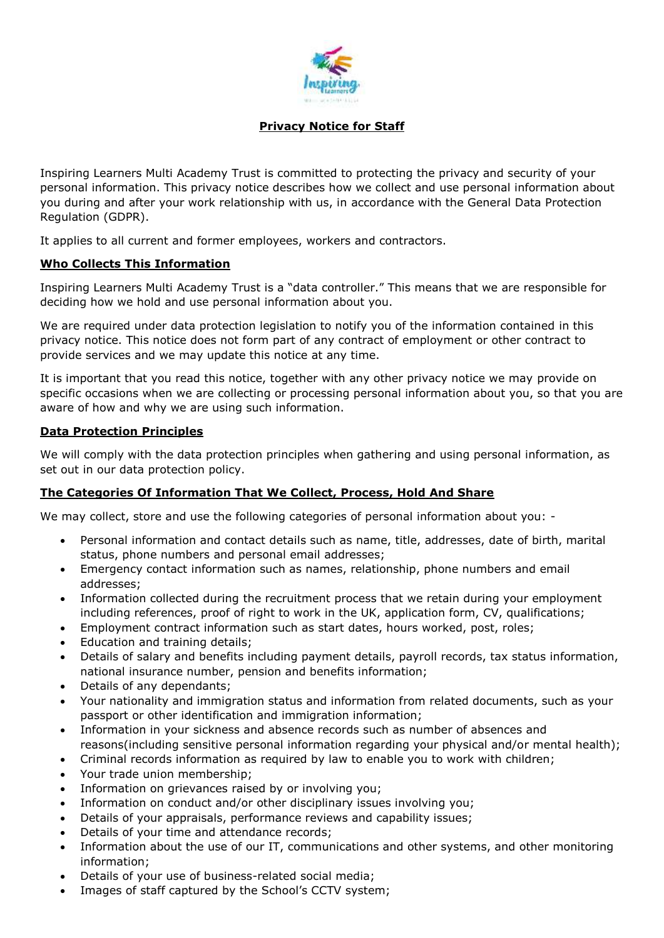

# **Privacy Notice for Staff**

Inspiring Learners Multi Academy Trust is committed to protecting the privacy and security of your personal information. This privacy notice describes how we collect and use personal information about you during and after your work relationship with us, in accordance with the General Data Protection Regulation (GDPR).

It applies to all current and former employees, workers and contractors.

### **Who Collects This Information**

Inspiring Learners Multi Academy Trust is a "data controller." This means that we are responsible for deciding how we hold and use personal information about you.

We are required under data protection legislation to notify you of the information contained in this privacy notice. This notice does not form part of any contract of employment or other contract to provide services and we may update this notice at any time.

It is important that you read this notice, together with any other privacy notice we may provide on specific occasions when we are collecting or processing personal information about you, so that you are aware of how and why we are using such information.

#### **Data Protection Principles**

We will comply with the data protection principles when gathering and using personal information, as set out in our data protection policy.

### **The Categories Of Information That We Collect, Process, Hold And Share**

We may collect, store and use the following categories of personal information about you: -

- Personal information and contact details such as name, title, addresses, date of birth, marital status, phone numbers and personal email addresses;
- Emergency contact information such as names, relationship, phone numbers and email addresses;
- Information collected during the recruitment process that we retain during your employment including references, proof of right to work in the UK, application form, CV, qualifications;
- Employment contract information such as start dates, hours worked, post, roles;
- Education and training details;
- Details of salary and benefits including payment details, payroll records, tax status information, national insurance number, pension and benefits information;
- Details of any dependants;
- Your nationality and immigration status and information from related documents, such as your passport or other identification and immigration information;
- Information in your sickness and absence records such as number of absences and reasons(including sensitive personal information regarding your physical and/or mental health);
- Criminal records information as required by law to enable you to work with children;
- Your trade union membership;
- Information on grievances raised by or involving you;
- Information on conduct and/or other disciplinary issues involving you;
- Details of your appraisals, performance reviews and capability issues;
- Details of your time and attendance records;
- Information about the use of our IT, communications and other systems, and other monitoring information;
- Details of your use of business-related social media;
- Images of staff captured by the School's CCTV system;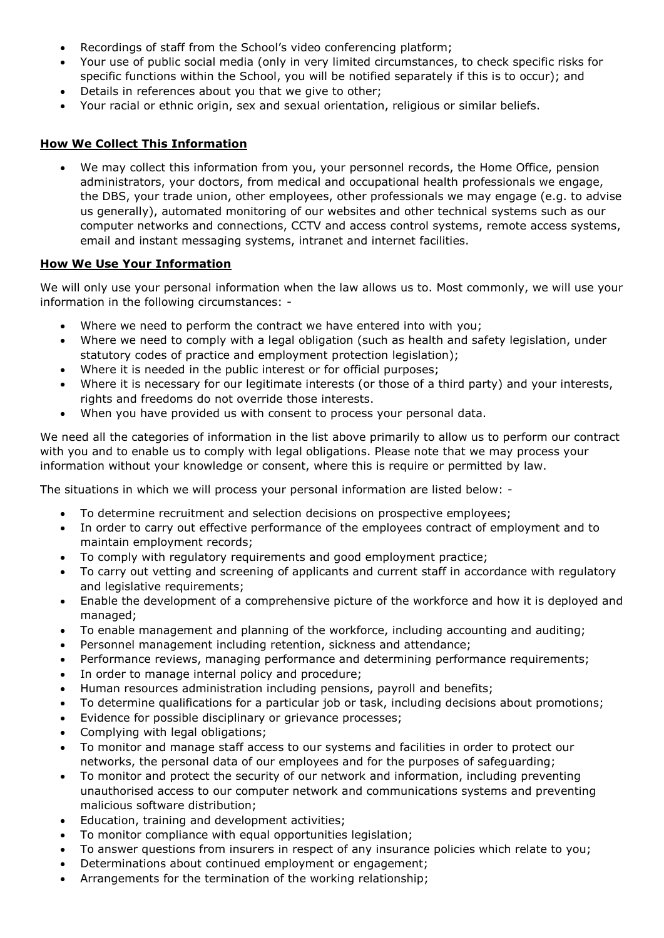- Recordings of staff from the School's video conferencing platform;
- Your use of public social media (only in very limited circumstances, to check specific risks for specific functions within the School, you will be notified separately if this is to occur); and
- Details in references about you that we give to other;
- Your racial or ethnic origin, sex and sexual orientation, religious or similar beliefs.

## **How We Collect This Information**

 We may collect this information from you, your personnel records, the Home Office, pension administrators, your doctors, from medical and occupational health professionals we engage, the DBS, your trade union, other employees, other professionals we may engage (e.g. to advise us generally), automated monitoring of our websites and other technical systems such as our computer networks and connections, CCTV and access control systems, remote access systems, email and instant messaging systems, intranet and internet facilities.

# **How We Use Your Information**

We will only use your personal information when the law allows us to. Most commonly, we will use your information in the following circumstances: -

- Where we need to perform the contract we have entered into with you;
- Where we need to comply with a legal obligation (such as health and safety legislation, under statutory codes of practice and employment protection legislation);
- Where it is needed in the public interest or for official purposes;
- Where it is necessary for our legitimate interests (or those of a third party) and your interests, rights and freedoms do not override those interests.
- When you have provided us with consent to process your personal data.

We need all the categories of information in the list above primarily to allow us to perform our contract with you and to enable us to comply with legal obligations. Please note that we may process your information without your knowledge or consent, where this is require or permitted by law.

The situations in which we will process your personal information are listed below: -

- To determine recruitment and selection decisions on prospective employees;
- In order to carry out effective performance of the employees contract of employment and to maintain employment records;
- To comply with regulatory requirements and good employment practice;
- To carry out vetting and screening of applicants and current staff in accordance with regulatory and legislative requirements;
- Enable the development of a comprehensive picture of the workforce and how it is deployed and managed;
- To enable management and planning of the workforce, including accounting and auditing;
- Personnel management including retention, sickness and attendance;
- Performance reviews, managing performance and determining performance requirements;
- In order to manage internal policy and procedure;
- Human resources administration including pensions, payroll and benefits;
- To determine qualifications for a particular job or task, including decisions about promotions;
- Evidence for possible disciplinary or grievance processes;
- Complying with legal obligations;
- To monitor and manage staff access to our systems and facilities in order to protect our networks, the personal data of our employees and for the purposes of safeguarding;
- To monitor and protect the security of our network and information, including preventing unauthorised access to our computer network and communications systems and preventing malicious software distribution;
- Education, training and development activities;
- To monitor compliance with equal opportunities legislation;
- To answer questions from insurers in respect of any insurance policies which relate to you;
- Determinations about continued employment or engagement;
- Arrangements for the termination of the working relationship;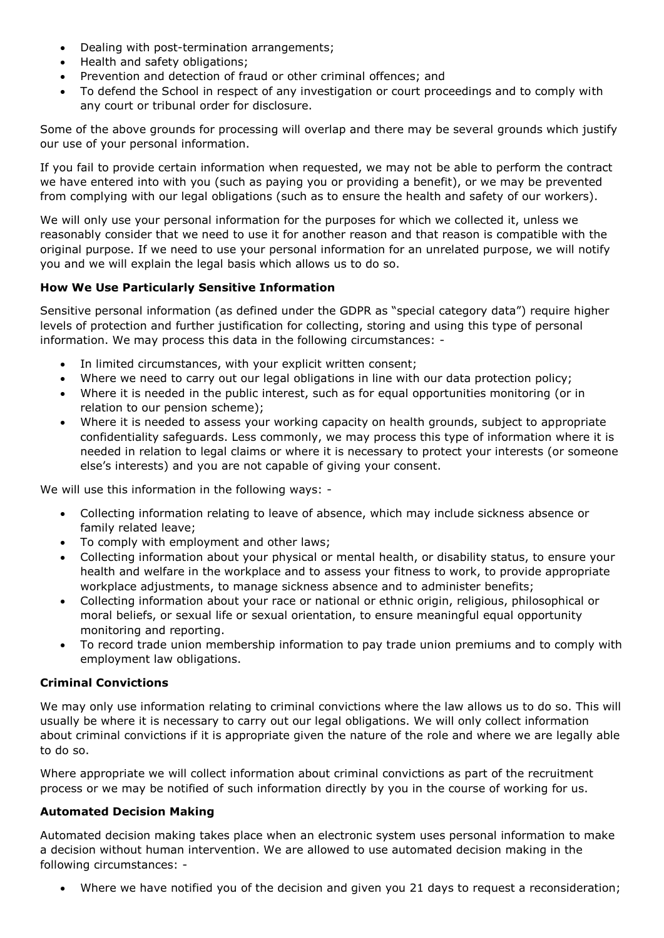- Dealing with post-termination arrangements;
- Health and safety obligations;
- Prevention and detection of fraud or other criminal offences; and
- To defend the School in respect of any investigation or court proceedings and to comply with any court or tribunal order for disclosure.

Some of the above grounds for processing will overlap and there may be several grounds which justify our use of your personal information.

If you fail to provide certain information when requested, we may not be able to perform the contract we have entered into with you (such as paying you or providing a benefit), or we may be prevented from complying with our legal obligations (such as to ensure the health and safety of our workers).

We will only use your personal information for the purposes for which we collected it, unless we reasonably consider that we need to use it for another reason and that reason is compatible with the original purpose. If we need to use your personal information for an unrelated purpose, we will notify you and we will explain the legal basis which allows us to do so.

# **How We Use Particularly Sensitive Information**

Sensitive personal information (as defined under the GDPR as "special category data") require higher levels of protection and further justification for collecting, storing and using this type of personal information. We may process this data in the following circumstances: -

- In limited circumstances, with your explicit written consent;
- Where we need to carry out our legal obligations in line with our data protection policy;
- Where it is needed in the public interest, such as for equal opportunities monitoring (or in relation to our pension scheme);
- Where it is needed to assess your working capacity on health grounds, subject to appropriate confidentiality safeguards. Less commonly, we may process this type of information where it is needed in relation to legal claims or where it is necessary to protect your interests (or someone else's interests) and you are not capable of giving your consent.

We will use this information in the following ways: -

- Collecting information relating to leave of absence, which may include sickness absence or family related leave;
- To comply with employment and other laws;
- Collecting information about your physical or mental health, or disability status, to ensure your health and welfare in the workplace and to assess your fitness to work, to provide appropriate workplace adjustments, to manage sickness absence and to administer benefits;
- Collecting information about your race or national or ethnic origin, religious, philosophical or moral beliefs, or sexual life or sexual orientation, to ensure meaningful equal opportunity monitoring and reporting.
- To record trade union membership information to pay trade union premiums and to comply with employment law obligations.

### **Criminal Convictions**

We may only use information relating to criminal convictions where the law allows us to do so. This will usually be where it is necessary to carry out our legal obligations. We will only collect information about criminal convictions if it is appropriate given the nature of the role and where we are legally able to do so.

Where appropriate we will collect information about criminal convictions as part of the recruitment process or we may be notified of such information directly by you in the course of working for us.

### **Automated Decision Making**

Automated decision making takes place when an electronic system uses personal information to make a decision without human intervention. We are allowed to use automated decision making in the following circumstances: -

Where we have notified you of the decision and given you 21 days to request a reconsideration;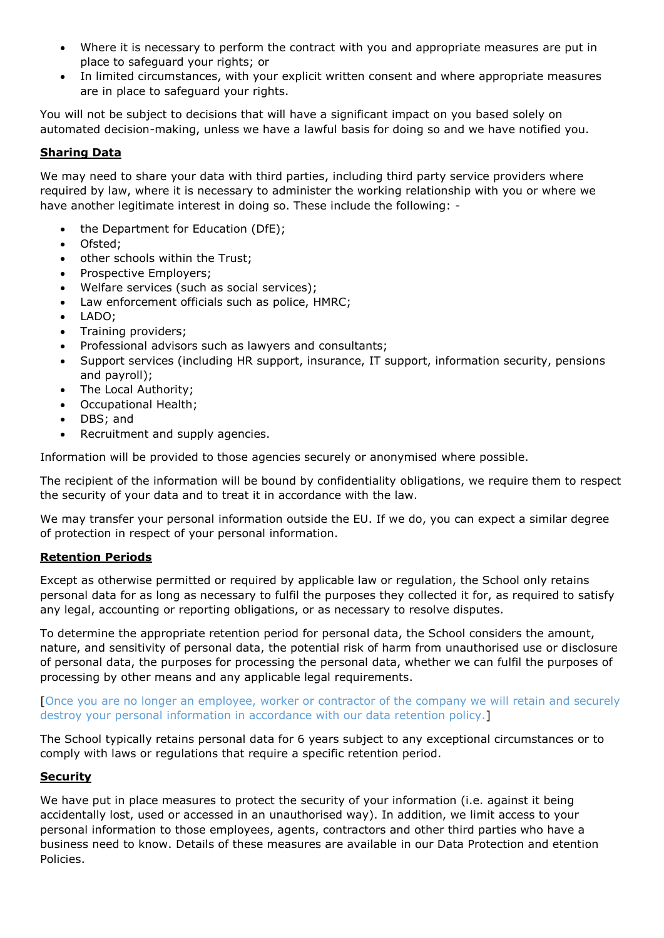- Where it is necessary to perform the contract with you and appropriate measures are put in place to safeguard your rights; or
- In limited circumstances, with your explicit written consent and where appropriate measures are in place to safeguard your rights.

You will not be subject to decisions that will have a significant impact on you based solely on automated decision-making, unless we have a lawful basis for doing so and we have notified you.

## **Sharing Data**

We may need to share your data with third parties, including third party service providers where required by law, where it is necessary to administer the working relationship with you or where we have another legitimate interest in doing so. These include the following: -

- the Department for Education (DfE);
- Ofsted:
- other schools within the Trust;
- Prospective Employers;
- Welfare services (such as social services);
- Law enforcement officials such as police, HMRC;
- LADO;
- Training providers;
- Professional advisors such as lawyers and consultants;
- Support services (including HR support, insurance, IT support, information security, pensions and payroll);
- The Local Authority;
- Occupational Health;
- DBS; and
- Recruitment and supply agencies.

Information will be provided to those agencies securely or anonymised where possible.

The recipient of the information will be bound by confidentiality obligations, we require them to respect the security of your data and to treat it in accordance with the law.

We may transfer your personal information outside the EU. If we do, you can expect a similar degree of protection in respect of your personal information.

### **Retention Periods**

Except as otherwise permitted or required by applicable law or regulation, the School only retains personal data for as long as necessary to fulfil the purposes they collected it for, as required to satisfy any legal, accounting or reporting obligations, or as necessary to resolve disputes.

To determine the appropriate retention period for personal data, the School considers the amount, nature, and sensitivity of personal data, the potential risk of harm from unauthorised use or disclosure of personal data, the purposes for processing the personal data, whether we can fulfil the purposes of processing by other means and any applicable legal requirements.

[Once you are no longer an employee, worker or contractor of the company we will retain and securely destroy your personal information in accordance with our data retention policy.]

The School typically retains personal data for 6 years subject to any exceptional circumstances or to comply with laws or regulations that require a specific retention period.

### **Security**

We have put in place measures to protect the security of your information (i.e. against it being accidentally lost, used or accessed in an unauthorised way). In addition, we limit access to your personal information to those employees, agents, contractors and other third parties who have a business need to know. Details of these measures are available in our Data Protection and etention Policies.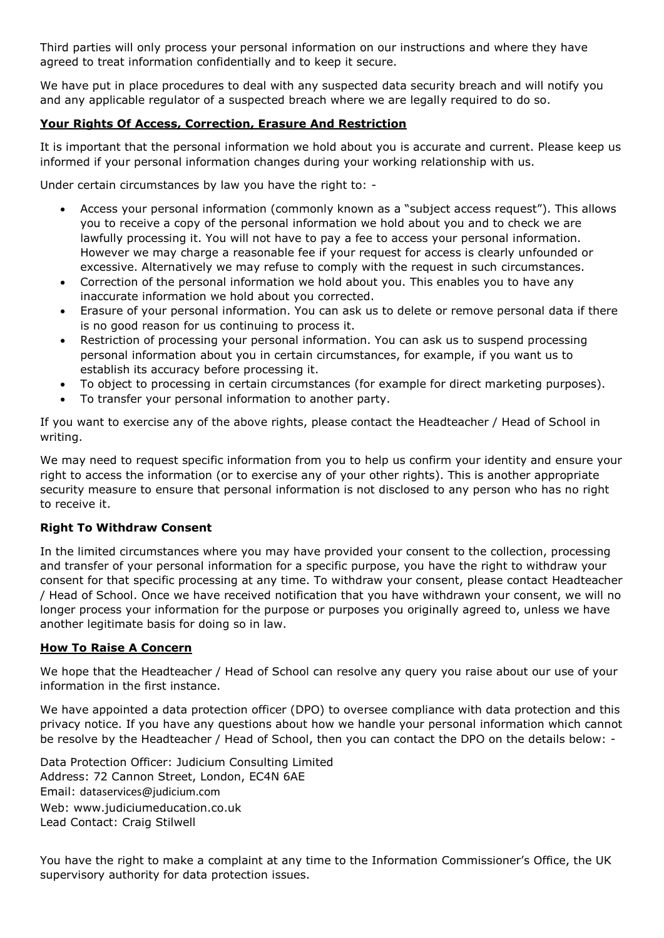Third parties will only process your personal information on our instructions and where they have agreed to treat information confidentially and to keep it secure.

We have put in place procedures to deal with any suspected data security breach and will notify you and any applicable regulator of a suspected breach where we are legally required to do so.

# **Your Rights Of Access, Correction, Erasure And Restriction**

It is important that the personal information we hold about you is accurate and current. Please keep us informed if your personal information changes during your working relationship with us.

Under certain circumstances by law you have the right to: -

- Access your personal information (commonly known as a "subject access request"). This allows you to receive a copy of the personal information we hold about you and to check we are lawfully processing it. You will not have to pay a fee to access your personal information. However we may charge a reasonable fee if your request for access is clearly unfounded or excessive. Alternatively we may refuse to comply with the request in such circumstances.
- Correction of the personal information we hold about you. This enables you to have any inaccurate information we hold about you corrected.
- Erasure of your personal information. You can ask us to delete or remove personal data if there is no good reason for us continuing to process it.
- Restriction of processing your personal information. You can ask us to suspend processing personal information about you in certain circumstances, for example, if you want us to establish its accuracy before processing it.
- To object to processing in certain circumstances (for example for direct marketing purposes).
- To transfer your personal information to another party.

If you want to exercise any of the above rights, please contact the Headteacher / Head of School in writing.

We may need to request specific information from you to help us confirm your identity and ensure your right to access the information (or to exercise any of your other rights). This is another appropriate security measure to ensure that personal information is not disclosed to any person who has no right to receive it.

### **Right To Withdraw Consent**

In the limited circumstances where you may have provided your consent to the collection, processing and transfer of your personal information for a specific purpose, you have the right to withdraw your consent for that specific processing at any time. To withdraw your consent, please contact Headteacher / Head of School. Once we have received notification that you have withdrawn your consent, we will no longer process your information for the purpose or purposes you originally agreed to, unless we have another legitimate basis for doing so in law.

### **How To Raise A Concern**

We hope that the Headteacher / Head of School can resolve any query you raise about our use of your information in the first instance.

We have appointed a data protection officer (DPO) to oversee compliance with data protection and this privacy notice. If you have any questions about how we handle your personal information which cannot be resolve by the Headteacher / Head of School, then you can contact the DPO on the details below: -

Data Protection Officer: Judicium Consulting Limited Address: 72 Cannon Street, London, EC4N 6AE Email: [dataservices@judicium.com](mailto:dataservices@judicium.com) Web: www.judiciumeducation.co.uk Lead Contact: Craig Stilwell

You have the right to make a complaint at any time to the Information Commissioner's Office, the UK supervisory authority for data protection issues.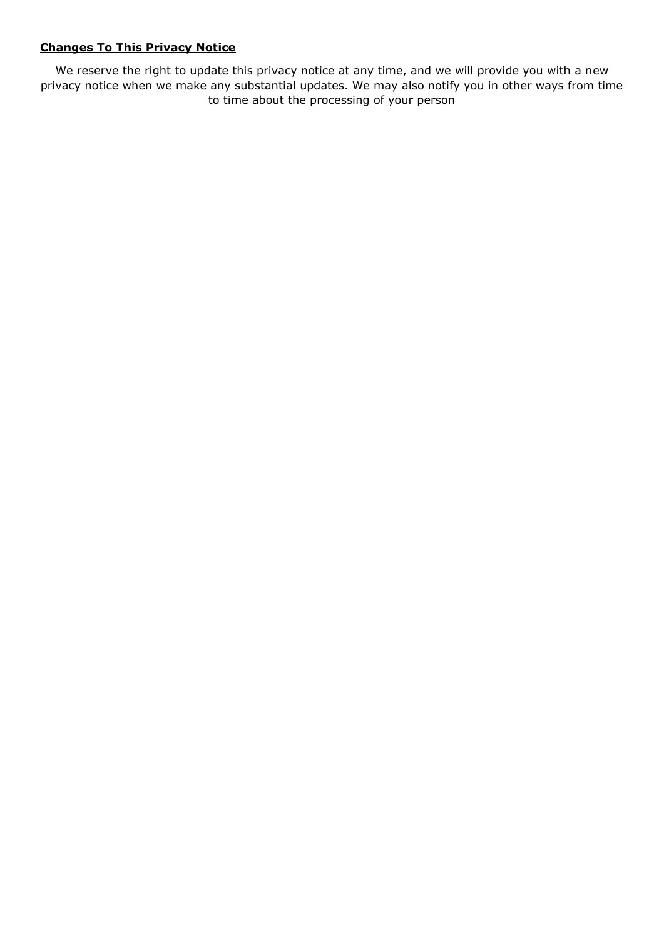## **Changes To This Privacy Notice**

We reserve the right to update this privacy notice at any time, and we will provide you with a new privacy notice when we make any substantial updates. We may also notify you in other ways from time to time about the processing of your person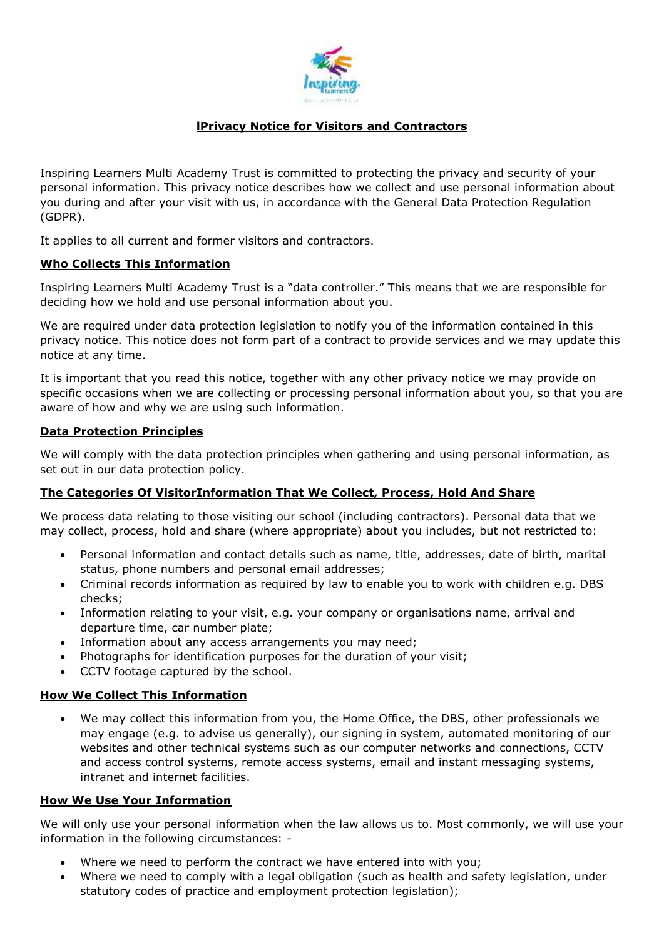

# **lPrivacy Notice for Visitors and Contractors**

Inspiring Learners Multi Academy Trust is committed to protecting the privacy and security of your personal information. This privacy notice describes how we collect and use personal information about you during and after your visit with us, in accordance with the General Data Protection Regulation (GDPR).

It applies to all current and former visitors and contractors.

### **Who Collects This Information**

Inspiring Learners Multi Academy Trust is a "data controller." This means that we are responsible for deciding how we hold and use personal information about you.

We are required under data protection legislation to notify you of the information contained in this privacy notice. This notice does not form part of a contract to provide services and we may update this notice at any time.

It is important that you read this notice, together with any other privacy notice we may provide on specific occasions when we are collecting or processing personal information about you, so that you are aware of how and why we are using such information.

#### **Data Protection Principles**

We will comply with the data protection principles when gathering and using personal information, as set out in our data protection policy.

### **The Categories Of VisitorInformation That We Collect, Process, Hold And Share**

We process data relating to those visiting our school (including contractors). Personal data that we may collect, process, hold and share (where appropriate) about you includes, but not restricted to:

- Personal information and contact details such as name, title, addresses, date of birth, marital status, phone numbers and personal email addresses;
- Criminal records information as required by law to enable you to work with children e.g. DBS checks;
- Information relating to your visit, e.g. your company or organisations name, arrival and departure time, car number plate;
- Information about any access arrangements you may need;
- Photographs for identification purposes for the duration of your visit;
- CCTV footage captured by the school.

### **How We Collect This Information**

 We may collect this information from you, the Home Office, the DBS, other professionals we may engage (e.g. to advise us generally), our signing in system, automated monitoring of our websites and other technical systems such as our computer networks and connections, CCTV and access control systems, remote access systems, email and instant messaging systems, intranet and internet facilities.

#### **How We Use Your Information**

We will only use your personal information when the law allows us to. Most commonly, we will use your information in the following circumstances: -

- Where we need to perform the contract we have entered into with you;
- Where we need to comply with a legal obligation (such as health and safety legislation, under statutory codes of practice and employment protection legislation);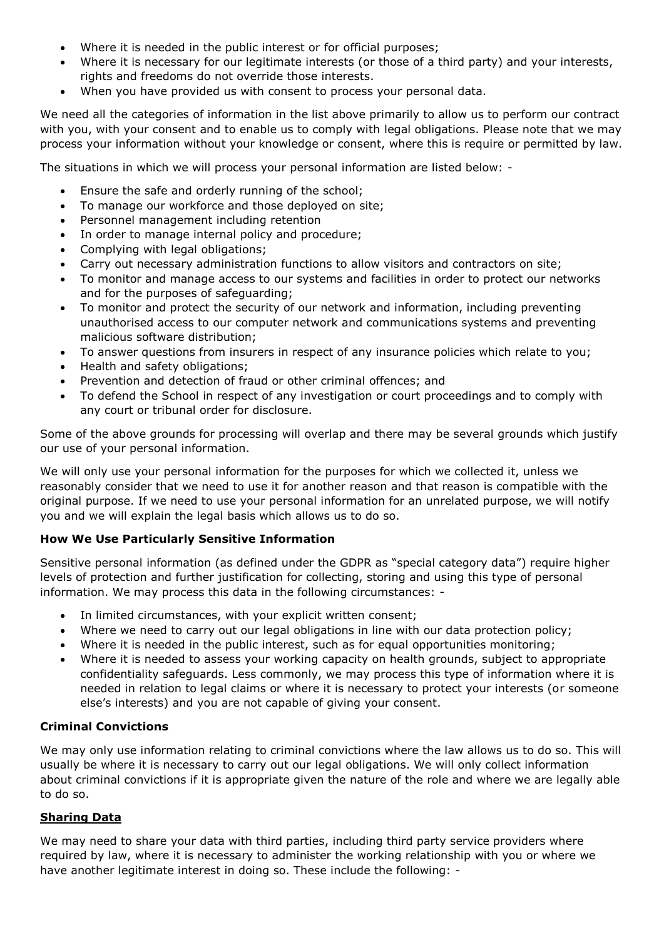- Where it is needed in the public interest or for official purposes;
- Where it is necessary for our legitimate interests (or those of a third party) and your interests, rights and freedoms do not override those interests.
- When you have provided us with consent to process your personal data.

We need all the categories of information in the list above primarily to allow us to perform our contract with you, with your consent and to enable us to comply with legal obligations. Please note that we may process your information without your knowledge or consent, where this is require or permitted by law.

The situations in which we will process your personal information are listed below: -

- Ensure the safe and orderly running of the school;
- To manage our workforce and those deployed on site;
- Personnel management including retention
- In order to manage internal policy and procedure;
- Complying with legal obligations;
- Carry out necessary administration functions to allow visitors and contractors on site;
- To monitor and manage access to our systems and facilities in order to protect our networks and for the purposes of safeguarding;
- To monitor and protect the security of our network and information, including preventing unauthorised access to our computer network and communications systems and preventing malicious software distribution;
- To answer questions from insurers in respect of any insurance policies which relate to you;
- Health and safety obligations;
- Prevention and detection of fraud or other criminal offences; and
- To defend the School in respect of any investigation or court proceedings and to comply with any court or tribunal order for disclosure.

Some of the above grounds for processing will overlap and there may be several grounds which justify our use of your personal information.

We will only use your personal information for the purposes for which we collected it, unless we reasonably consider that we need to use it for another reason and that reason is compatible with the original purpose. If we need to use your personal information for an unrelated purpose, we will notify you and we will explain the legal basis which allows us to do so.

### **How We Use Particularly Sensitive Information**

Sensitive personal information (as defined under the GDPR as "special category data") require higher levels of protection and further justification for collecting, storing and using this type of personal information. We may process this data in the following circumstances: -

- In limited circumstances, with your explicit written consent;
- Where we need to carry out our legal obligations in line with our data protection policy;
- Where it is needed in the public interest, such as for equal opportunities monitoring;
- Where it is needed to assess your working capacity on health grounds, subject to appropriate confidentiality safeguards. Less commonly, we may process this type of information where it is needed in relation to legal claims or where it is necessary to protect your interests (or someone else's interests) and you are not capable of giving your consent.

### **Criminal Convictions**

We may only use information relating to criminal convictions where the law allows us to do so. This will usually be where it is necessary to carry out our legal obligations. We will only collect information about criminal convictions if it is appropriate given the nature of the role and where we are legally able to do so.

# **Sharing Data**

We may need to share your data with third parties, including third party service providers where required by law, where it is necessary to administer the working relationship with you or where we have another legitimate interest in doing so. These include the following: -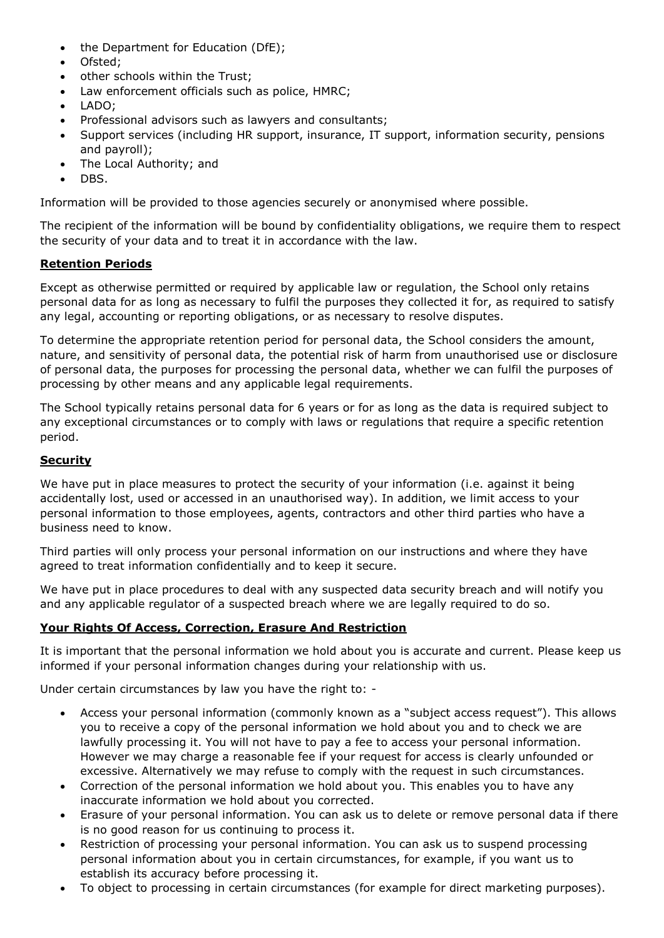- the Department for Education (DfE);
- Ofsted;
- other schools within the Trust;
- Law enforcement officials such as police, HMRC;
- LADO;
- Professional advisors such as lawyers and consultants;
- Support services (including HR support, insurance, IT support, information security, pensions and payroll);
- The Local Authority; and
- DBS.

Information will be provided to those agencies securely or anonymised where possible.

The recipient of the information will be bound by confidentiality obligations, we require them to respect the security of your data and to treat it in accordance with the law.

## **Retention Periods**

Except as otherwise permitted or required by applicable law or regulation, the School only retains personal data for as long as necessary to fulfil the purposes they collected it for, as required to satisfy any legal, accounting or reporting obligations, or as necessary to resolve disputes.

To determine the appropriate retention period for personal data, the School considers the amount, nature, and sensitivity of personal data, the potential risk of harm from unauthorised use or disclosure of personal data, the purposes for processing the personal data, whether we can fulfil the purposes of processing by other means and any applicable legal requirements.

The School typically retains personal data for 6 years or for as long as the data is required subject to any exceptional circumstances or to comply with laws or regulations that require a specific retention period.

### **Security**

We have put in place measures to protect the security of your information (i.e. against it being accidentally lost, used or accessed in an unauthorised way). In addition, we limit access to your personal information to those employees, agents, contractors and other third parties who have a business need to know.

Third parties will only process your personal information on our instructions and where they have agreed to treat information confidentially and to keep it secure.

We have put in place procedures to deal with any suspected data security breach and will notify you and any applicable regulator of a suspected breach where we are legally required to do so.

### **Your Rights Of Access, Correction, Erasure And Restriction**

It is important that the personal information we hold about you is accurate and current. Please keep us informed if your personal information changes during your relationship with us.

Under certain circumstances by law you have the right to: -

- Access your personal information (commonly known as a "subject access request"). This allows you to receive a copy of the personal information we hold about you and to check we are lawfully processing it. You will not have to pay a fee to access your personal information. However we may charge a reasonable fee if your request for access is clearly unfounded or excessive. Alternatively we may refuse to comply with the request in such circumstances.
- Correction of the personal information we hold about you. This enables you to have any inaccurate information we hold about you corrected.
- Erasure of your personal information. You can ask us to delete or remove personal data if there is no good reason for us continuing to process it.
- Restriction of processing your personal information. You can ask us to suspend processing personal information about you in certain circumstances, for example, if you want us to establish its accuracy before processing it.
- To object to processing in certain circumstances (for example for direct marketing purposes).